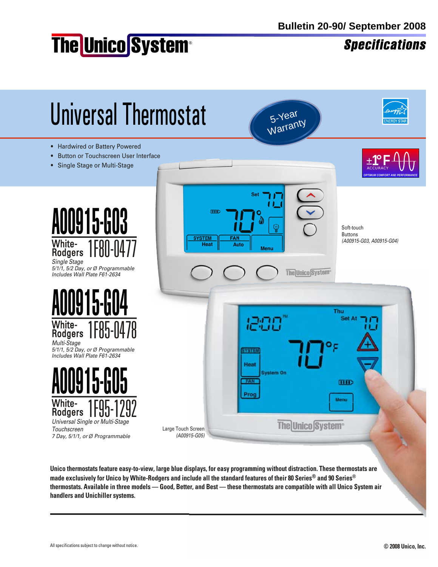# The Unico System®

**Specifications** 



thermostats. Available in three models — Good, Better, and Best — these thermostats are compatible with all Unico System air **handlers and Unichiller systems.**